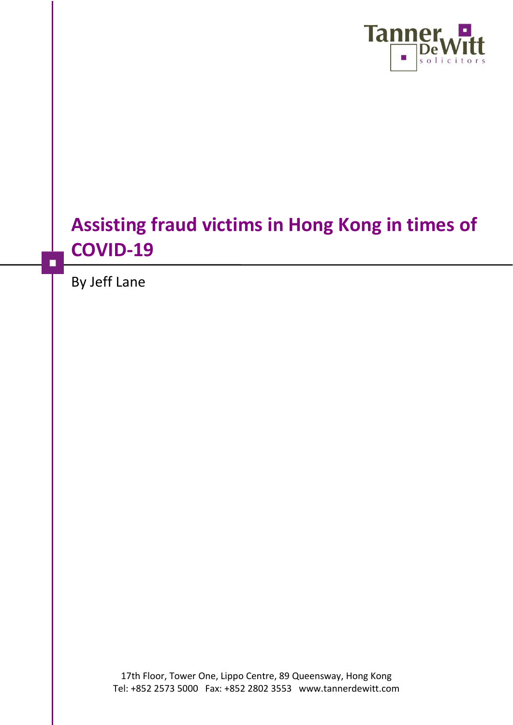

# **Assisting fraud victims in Hong Kong in times of COVID-19**

By Jeff Lane

 $\blacksquare$ 

17th Floor, Tower One, Lippo Centre, 89 Queensway, Hong Kong Tel: +852 2573 5000 Fax: +852 2802 3553 www.tannerdewitt.com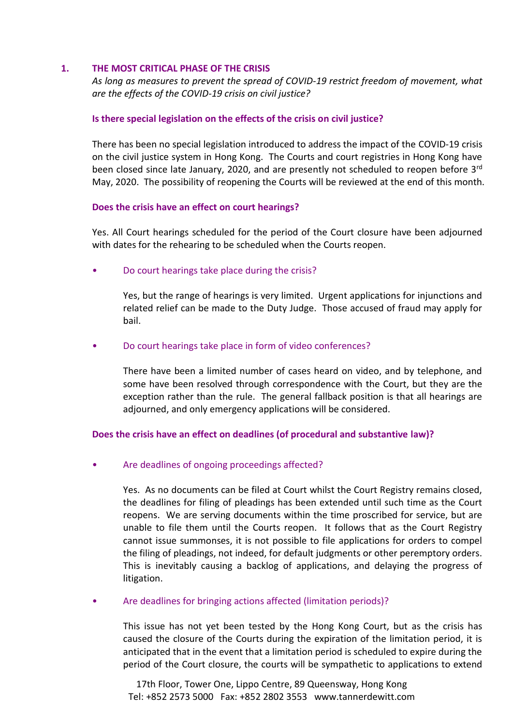# **1. THE MOST CRITICAL PHASE OF THE CRISIS**

*As long as measures to prevent the spread of COVID-19 restrict freedom of movement, what are the effects of the COVID-19 crisis on civil justice?*

#### **Is there special legislation on the effects of the crisis on civil justice?**

There has been no special legislation introduced to address the impact of the COVID-19 crisis on the civil justice system in Hong Kong. The Courts and court registries in Hong Kong have been closed since late January, 2020, and are presently not scheduled to reopen before 3<sup>rd</sup> May, 2020. The possibility of reopening the Courts will be reviewed at the end of this month.

#### **Does the crisis have an effect on court hearings?**

Yes. All Court hearings scheduled for the period of the Court closure have been adjourned with dates for the rehearing to be scheduled when the Courts reopen.

• Do court hearings take place during the crisis?

Yes, but the range of hearings is very limited. Urgent applications for injunctions and related relief can be made to the Duty Judge. Those accused of fraud may apply for bail.

#### • Do court hearings take place in form of video conferences?

There have been a limited number of cases heard on video, and by telephone, and some have been resolved through correspondence with the Court, but they are the exception rather than the rule. The general fallback position is that all hearings are adjourned, and only emergency applications will be considered.

#### **Does the crisis have an effect on deadlines (of procedural and substantive law)?**

# • Are deadlines of ongoing proceedings affected?

Yes. As no documents can be filed at Court whilst the Court Registry remains closed, the deadlines for filing of pleadings has been extended until such time as the Court reopens. We are serving documents within the time proscribed for service, but are unable to file them until the Courts reopen. It follows that as the Court Registry cannot issue summonses, it is not possible to file applications for orders to compel the filing of pleadings, not indeed, for default judgments or other peremptory orders. This is inevitably causing a backlog of applications, and delaying the progress of litigation.

#### • Are deadlines for bringing actions affected (limitation periods)?

This issue has not yet been tested by the Hong Kong Court, but as the crisis has caused the closure of the Courts during the expiration of the limitation period, it is anticipated that in the event that a limitation period is scheduled to expire during the period of the Court closure, the courts will be sympathetic to applications to extend

17th Floor, Tower One, Lippo Centre, 89 Queensway, Hong Kong Tel: +852 2573 5000 Fax: +852 2802 3553 www.tannerdewitt.com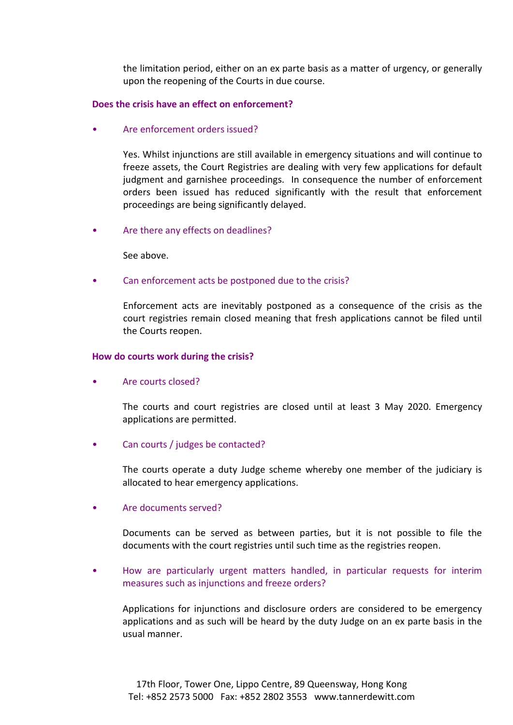the limitation period, either on an ex parte basis as a matter of urgency, or generally upon the reopening of the Courts in due course.

#### **Does the crisis have an effect on enforcement?**

• Are enforcement orders issued?

Yes. Whilst injunctions are still available in emergency situations and will continue to freeze assets, the Court Registries are dealing with very few applications for default judgment and garnishee proceedings. In consequence the number of enforcement orders been issued has reduced significantly with the result that enforcement proceedings are being significantly delayed.

Are there any effects on deadlines?

See above.

Can enforcement acts be postponed due to the crisis?

Enforcement acts are inevitably postponed as a consequence of the crisis as the court registries remain closed meaning that fresh applications cannot be filed until the Courts reopen.

#### **How do courts work during the crisis?**

• Are courts closed?

The courts and court registries are closed until at least 3 May 2020. Emergency applications are permitted.

• Can courts / judges be contacted?

The courts operate a duty Judge scheme whereby one member of the judiciary is allocated to hear emergency applications.

• Are documents served?

Documents can be served as between parties, but it is not possible to file the documents with the court registries until such time as the registries reopen.

• How are particularly urgent matters handled, in particular requests for interim measures such as injunctions and freeze orders?

Applications for injunctions and disclosure orders are considered to be emergency applications and as such will be heard by the duty Judge on an ex parte basis in the usual manner.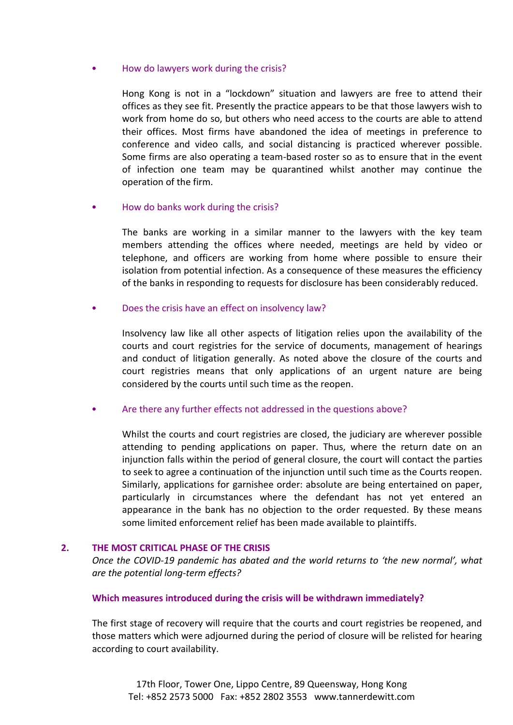#### • How do lawyers work during the crisis?

Hong Kong is not in a "lockdown" situation and lawyers are free to attend their offices as they see fit. Presently the practice appears to be that those lawyers wish to work from home do so, but others who need access to the courts are able to attend their offices. Most firms have abandoned the idea of meetings in preference to conference and video calls, and social distancing is practiced wherever possible. Some firms are also operating a team-based roster so as to ensure that in the event of infection one team may be quarantined whilst another may continue the operation of the firm.

# • How do banks work during the crisis?

The banks are working in a similar manner to the lawyers with the key team members attending the offices where needed, meetings are held by video or telephone, and officers are working from home where possible to ensure their isolation from potential infection. As a consequence of these measures the efficiency of the banks in responding to requests for disclosure has been considerably reduced.

#### • Does the crisis have an effect on insolvency law?

Insolvency law like all other aspects of litigation relies upon the availability of the courts and court registries for the service of documents, management of hearings and conduct of litigation generally. As noted above the closure of the courts and court registries means that only applications of an urgent nature are being considered by the courts until such time as the reopen.

# Are there any further effects not addressed in the questions above?

Whilst the courts and court registries are closed, the judiciary are wherever possible attending to pending applications on paper. Thus, where the return date on an injunction falls within the period of general closure, the court will contact the parties to seek to agree a continuation of the injunction until such time as the Courts reopen. Similarly, applications for garnishee order: absolute are being entertained on paper, particularly in circumstances where the defendant has not yet entered an appearance in the bank has no objection to the order requested. By these means some limited enforcement relief has been made available to plaintiffs.

#### **2. THE MOST CRITICAL PHASE OF THE CRISIS**

*Once the COVID-19 pandemic has abated and the world returns to 'the new normal', what are the potential long-term effects?*

#### **Which measures introduced during the crisis will be withdrawn immediately?**

The first stage of recovery will require that the courts and court registries be reopened, and those matters which were adjourned during the period of closure will be relisted for hearing according to court availability.